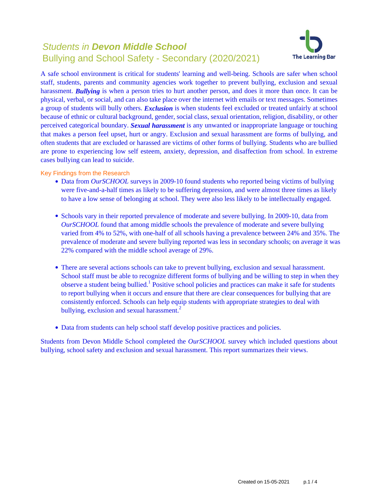# Students in **Devon Middle School** Bullying and School Safety - Secondary (2020/2021)



A safe school environment is critical for students' learning and well-being. Schools are safer when school staff, students, parents and community agencies work together to prevent bullying, exclusion and sexual harassment. **Bullying** is when a person tries to hurt another person, and does it more than once. It can be physical, verbal, or social, and can also take place over the internet with emails or text messages. Sometimes a group of students will bully others. *Exclusion* is when students feel excluded or treated unfairly at school because of ethnic or cultural background, gender, social class, sexual orientation, religion, disability, or other perceived categorical boundary. *Sexual harassment* is any unwanted or inappropriate language or touching that makes a person feel upset, hurt or angry. Exclusion and sexual harassment are forms of bullying, and often students that are excluded or harassed are victims of other forms of bullying. Students who are bullied are prone to experiencing low self esteem, anxiety, depression, and disaffection from school. In extreme cases bullying can lead to suicide.

Key Findings from the Research

- Data from *OurSCHOOL* surveys in 2009-10 found students who reported being victims of bullying were five-and-a-half times as likely to be suffering depression, and were almost three times as likely to have a low sense of belonging at school. They were also less likely to be intellectually engaged.
- Schools vary in their reported prevalence of moderate and severe bullying. In 2009-10, data from *OurSCHOOL* found that among middle schools the prevalence of moderate and severe bullying varied from 4% to 52%, with one-half of all schools having a prevalence between 24% and 35%. The prevalence of moderate and severe bullying reported was less in secondary schools; on average it was 22% compared with the middle school average of 29%.
- There are several actions schools can take to prevent bullying, exclusion and sexual harassment. School staff must be able to recognize different forms of bullying and be willing to step in when they observe a student being bullied.<sup>1</sup> Positive school policies and practices can make it safe for students to report bullying when it occurs and ensure that there are clear consequences for bullying that are consistently enforced. Schools can help equip students with appropriate strategies to deal with bullying, exclusion and sexual harassment.<sup>2</sup>
- Data from students can help school staff develop positive practices and policies.

Students from Devon Middle School completed the *OurSCHOOL* survey which included questions about bullying, school safety and exclusion and sexual harassment. This report summarizes their views.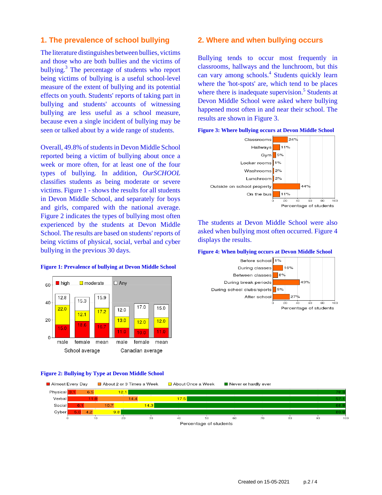# **1. The prevalence of school bullying**

The literature distinguishes between bullies, victims and those who are both bullies and the victims of bullying.<sup>3</sup> The percentage of students who report being victims of bullying is a useful school-level measure of the extent of bullying and its potential effects on youth. Students' reports of taking part in bullying and students' accounts of witnessing bullying are less useful as a school measure, because even a single incident of bullying may be seen or talked about by a wide range of students.

Overall, 49.8% of students in Devon Middle School reported being a victim of bullying about once a week or more often, for at least one of the four types of bullying. In addition, *OurSCHOOL* classifies students as being moderate or severe victims. Figure 1 - shows the results for all students in Devon Middle School, and separately for boys and girls, compared with the national average. Figure 2 indicates the types of bullying most often experienced by the students at Devon Middle School. The results are based on students' reports of being victims of physical, social, verbal and cyber bullying in the previous 30 days.

#### lackson by high  $\Box$  moderate  $\Box$  Any 60  $12.8$ 15.9  $15.3$ 40 17.0 15.0  $22.0$  $12.0$  $17.2$  $12.1$ 20  $13.0$  $12.0$  $12.0$  $18.6$ 16.7 15.0  $11.0$  $11.0$ 10 ር  $\Omega$ male female mean male female mean School average Canadian average

#### **Figure 1: Prevalence of bullying at Devon Middle School**

### **Figure 2: Bullying by Type at Devon Middle School**

#### Almost Every Day About 2 or 3 Times a Week About Once a Week Never or hardly ever Physical  $12<sup>1</sup>$  $65$ Verbal  $17.5$  $1A$ Social  $10<sub>7</sub>$  $14.3$ Cyber  $9<sub>g</sub>$  $\overline{30}$  $\frac{1}{70}$ тò  $\frac{1}{20}$  $40$  $50^{\circ}$ 60  $\overline{80}$ so Percentage of students

# **2. Where and when bullying occurs**

Bullying tends to occur most frequently in classrooms, hallways and the lunchroom, but this can vary among schools.<sup>4</sup> Students quickly learn where the 'hot-spots' are, which tend to be places where there is inadequate supervision.<sup>5</sup> Students at Devon Middle School were asked where bullying happened most often in and near their school. The results are shown in Figure 3.



The students at Devon Middle School were also asked when bullying most often occurred. Figure 4 displays the results.

#### **Figure 4: When bullying occurs at Devon Middle School**

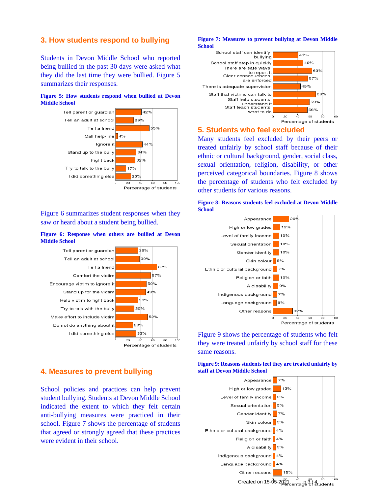# **3. How students respond to bullying**

Students in Devon Middle School who reported being bullied in the past 30 days were asked what they did the last time they were bullied. Figure 5 summarizes their responses.

### **Figure 5: How students respond when bullied at Devon Middle School**



Figure 6 summarizes student responses when they saw or heard about a student being bullied.

#### **Figure 6: Response when others are bullied at Devon Middle School**



# **4. Measures to prevent bullying**

School policies and practices can help prevent student bullying. Students at Devon Middle School indicated the extent to which they felt certain anti-bullying measures were practiced in their school. Figure 7 shows the percentage of students that agreed or strongly agreed that these practices were evident in their school.

#### **Figure 7: Measures to prevent bullying at Devon Middle School**



# **5. Students who feel excluded**

Many students feel excluded by their peers or treated unfairly by school staff because of their ethnic or cultural background, gender, social class, sexual orientation, religion, disability, or other perceived categorical boundaries. Figure 8 shows the percentage of students who felt excluded by other students for various reasons.





Figure 9 shows the percentage of students who felt they were treated unfairly by school staff for these same reasons.

## **Figure 9: Reasons students feel they are treated unfairly by staff at Devon Middle School**